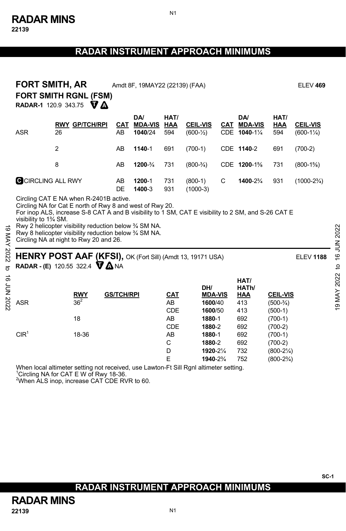N1

|                                                                                                                                                                                 | <b>FORT SMITH, AR</b><br><b>FORT SMITH RGNL (FSM)</b><br><b>RADAR-1</b> 120.9 343.75 $\nabla$ <b><math>\Lambda</math></b> |                   | Amdt 8F, 19MAY22 (22139) (FAA)   |                               |                                                       |   |                                                  |                                                          |                                         |
|---------------------------------------------------------------------------------------------------------------------------------------------------------------------------------|---------------------------------------------------------------------------------------------------------------------------|-------------------|----------------------------------|-------------------------------|-------------------------------------------------------|---|--------------------------------------------------|----------------------------------------------------------|-----------------------------------------|
| <b>ASR</b>                                                                                                                                                                      | <b>RWY GP/TCH/RPI</b><br>26                                                                                               | CAT<br>AB         | DA/<br><b>MDA-VIS</b><br>1040/24 | HAT/<br>HAA<br>594            | <b>CEIL-VIS</b><br>$(600 - \frac{1}{2})$              |   | DA/<br>CAT MDA-VIS<br>CDE 1040-11/4              | HAT/<br>HAA<br>594                                       | <b>CEIL-VIS</b><br>$(600-1\frac{1}{4})$ |
|                                                                                                                                                                                 | $\overline{2}$                                                                                                            | AB                | 1140-1                           | 691                           | $(700-1)$                                             |   | CDE 1140-2                                       | 691                                                      | $(700-2)$                               |
|                                                                                                                                                                                 | 8                                                                                                                         | AB                | 1200-3/4                         | 731                           | $(800-3/4)$                                           |   | CDE 1200-1%                                      | 731                                                      | $(800-1\%)$                             |
|                                                                                                                                                                                 | C CIRCLING ALL RWY                                                                                                        | AB<br>DE          | 1200-1<br>1400-3                 | 731<br>931                    | $(800-1)$<br>$(1000-3)$                               | C | 1400-23/4                                        | 931                                                      | $(1000-2\frac{3}{4})$                   |
| ಠ<br>Rwy 8 helicopter visibility reduction below 3/4 SM NA.<br>MAY 2022<br>Circling NA at night to Rwy 20 and 26.<br>HENRY POST AAF (KFSI), OK (Fort Sill) (Amdt 13, 19171 USA) |                                                                                                                           |                   |                                  |                               |                                                       |   |                                                  |                                                          |                                         |
|                                                                                                                                                                                 |                                                                                                                           |                   |                                  |                               |                                                       |   |                                                  |                                                          | <b>ELEV 1188</b>                        |
| 16 JUN 202<br><b>ASR</b>                                                                                                                                                        | <b>RADAR - (E)</b> 120.55 322.4 $\nabla \Delta$ NA<br><b>RWY</b><br>36 <sup>2</sup><br>18                                 | <b>GS/TCH/RPI</b> |                                  | <b>CAT</b><br>AB<br>CDE<br>AB | DH/<br><b>MDA-VIS</b><br>1600/40<br>1600/50<br>1880-1 |   | HAT/<br>HATh/<br><b>HAA</b><br>413<br>413<br>692 | <b>CEIL-VIS</b><br>$(500-3/4)$<br>$(500-1)$<br>$(700-1)$ | 19 MAY 2022                             |

When local altimeter setting not received, use Lawton-Ft Sill Rgnl altimeter setting. 1 Circling NA for CAT E W of Rwy 18-36.

<sup>2</sup>When ALS inop, increase CAT CDE RVR to 60.

**SC-1** 

# **RADAR INSTRUMENT APPROACH MINIMUMS**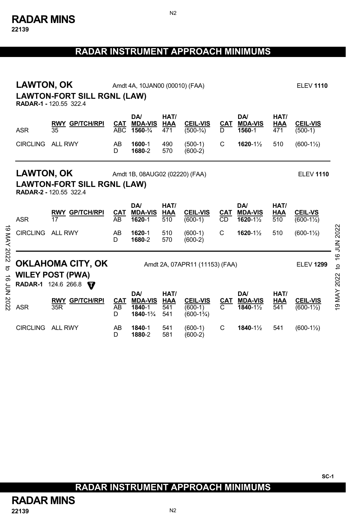**22139** 

# **RADAR INSTRUMENT APPROACH MINIMUMS**

|                 | <b>LAWTON, OK</b><br>Amdt 4A, 10JAN00 (00010) (FAA)<br><b>LAWTON-FORT SILL RGNL (LAW)</b><br>RADAR-1 - 120.55 322.4 |                                                                                                                            |                   |                                            |                           |                                                      |                  |                                          | <b>ELEV 1110</b>   |                                         |                                 |
|-----------------|---------------------------------------------------------------------------------------------------------------------|----------------------------------------------------------------------------------------------------------------------------|-------------------|--------------------------------------------|---------------------------|------------------------------------------------------|------------------|------------------------------------------|--------------------|-----------------------------------------|---------------------------------|
|                 | <b>ASR</b>                                                                                                          | <b>RWY GP/TCH/RPI</b><br>35                                                                                                | CAT<br><b>ABC</b> | <b>DA</b><br><b>MDA-VIS</b><br>1560-34     | HAT/<br><b>HAA</b><br>471 | <b>CEIL-VIS</b><br>$(500-3/4)$                       | CAT<br>D         | DA/<br><b>MDA-VIS</b><br>1560-1          | HAT/<br>HAA<br>471 | <b>CEIL-VIS</b><br>$(500-1)$            |                                 |
|                 | <b>CIRCLING</b>                                                                                                     | ALL RWY                                                                                                                    | AB<br>D           | 1600-1<br>1680-2                           | 490<br>570                | $(500-1)$<br>$(600-2)$                               | C                | 1620-11/2                                | 510                | $(600-1\frac{1}{2})$                    |                                 |
|                 |                                                                                                                     | <b>LAWTON, OK</b><br>Amdt 1B, 08AUG02 (02220) (FAA)<br><b>LAWTON-FORT SILL RGNL (LAW)</b><br><b>RADAR-2 - 120.55 322.4</b> |                   |                                            |                           |                                                      |                  |                                          |                    |                                         |                                 |
|                 | <b>ASR</b>                                                                                                          | <b>RWY GP/TCH/RPI</b><br>17                                                                                                | <b>CAT</b><br>AB  | DA/<br><b>MDA-VIS</b><br>1620-1            | HAT/<br>HAA<br>510        | <b>CEIL-VIS</b><br>$(600-1)$                         | CAT<br><b>CD</b> | <b>DA</b><br><b>MDA-VIS</b><br>1620-11/2 | HAT/<br>HAA<br>510 | <b>CEIL-VS</b><br>$(600-1\frac{1}{2})$  |                                 |
| 19 MAY 2022     | <b>CIRCLING</b>                                                                                                     | <b>ALL RWY</b>                                                                                                             | AB<br>D.          | 1620-1<br>1680-2                           | 510<br>570                | $(600-1)$<br>$(600-2)$                               | C                | 1620-11/2                                | 510                | $(600-1\frac{1}{2})$                    | 2022<br><b>NUL 91</b>           |
| đ<br>ಕ          | OKLAHOMA CITY, OK<br>Amdt 2A, 07APR11 (11153) (FAA)<br><b>WILEY POST (PWA)</b><br>RADAR-1 124.6 266.8               |                                                                                                                            |                   |                                            |                           |                                                      |                  |                                          |                    | <b>ELEV 1299</b>                        | $\mathbf{c}$<br><b>MAY 2022</b> |
| <b>JUN 2022</b> | <b>ASR</b>                                                                                                          | <b>RWY GP/TCH/RPI</b><br>35R                                                                                               | CAT<br>AB<br>D    | DA/<br><b>MDA-VIS</b><br>1840-1<br>1840-1% | HAT/<br>HAA<br>541<br>541 | <b>CEIL-VIS</b><br>$(600-1)$<br>$(600-1\frac{3}{4})$ | CAT<br>C         | <b>DA</b><br><b>MDA-VIS</b><br>1840-11/2 | HAT/<br>HAA<br>541 | <b>CEIL-VIS</b><br>$(600-1\frac{1}{2})$ | ō,                              |
|                 | <b>CIRCLING</b>                                                                                                     | <b>ALL RWY</b>                                                                                                             | AB<br>D           | 1840-1<br>1880-2                           | 541<br>581                | $(600-1)$<br>$(600-2)$                               | C                | 1840-11/2                                | 541                | $(600-1\frac{1}{2})$                    |                                 |

N2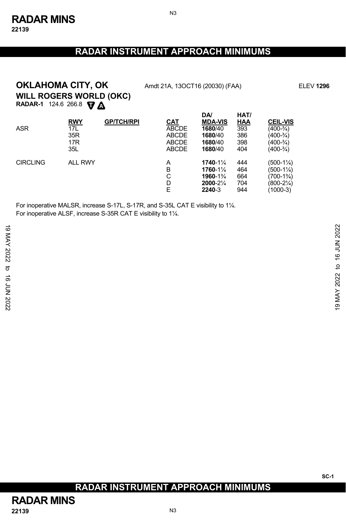N3

# **WILL ROGERS WORLD (OKC) OKLAHOMA CITY, OK** Amdt 21A, 13OCT16 (20030) (FAA) ELEV 1296

**RADAR-1** 124.6 266.8 **V** 

| <b>ASR</b>      | <b>RWY</b><br>17L<br>35R<br>17 <sub>R</sub><br>35L | <b>GP/TCH/RPI</b> | CAT<br><b>ABCDE</b><br><b>ABCDE</b><br><b>ABCDE</b><br><b>ABCDE</b> | <b>DA</b><br><b>MDA-VIS</b><br>1680/40<br>1680/40<br>1680/40<br>1680/40 | HAT/<br>HAA<br>393<br>386<br>398<br>404 | <b>CEIL-VIS</b><br>$(400-3/4)$<br>(400-¾)<br>(400-¾)<br>$(400-3/4)$ |
|-----------------|----------------------------------------------------|-------------------|---------------------------------------------------------------------|-------------------------------------------------------------------------|-----------------------------------------|---------------------------------------------------------------------|
| <b>CIRCLING</b> | <b>ALL RWY</b>                                     |                   | A<br>B<br>С<br>D<br>E                                               | 1740-11/4<br>1760-11⁄4<br>1960-1%<br>2000-21/4<br>2240-3                | 444<br>464<br>664<br>704<br>944         | (500-1¼)<br>(500-1¼)<br>$(700-1\%)$<br>(800-21⁄4)<br>(1000-3)       |

For inoperative MALSR, increase S-17L, S-17R, and S-35L CAT E visibility to 1¼. For inoperative ALSF, increase S-35R CAT E visibility to 1¼.

### **RADAR INSTRUMENT APPROACH MINIMUMS**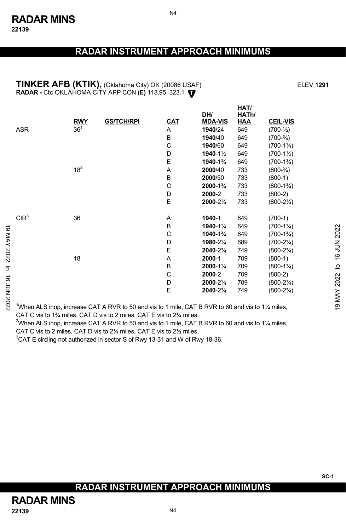#### **TINKER AFB (KTIK),** (Oklahoma City) OK (20086 USAF) ELEV **1291 T RADAR -** Ctc OKLAHOMA CITY APP CON **(E)** 118.95 323.1

|          |                                                                                                                             | <b>RWY</b> | <b>GS/TCH/RPI</b> | CAT | DH/<br><b>MDA-VIS</b> | HATh/<br><b>HAA</b> | <b>CEIL-VIS</b>      |                |
|----------|-----------------------------------------------------------------------------------------------------------------------------|------------|-------------------|-----|-----------------------|---------------------|----------------------|----------------|
|          | ASR                                                                                                                         | $36^{1}$   |                   | A   | 1940/24               | 649                 | $(700-1/2)$          |                |
|          |                                                                                                                             |            |                   | B   | 1940/40               | 649                 | $(700-3/4)$          |                |
|          |                                                                                                                             |            |                   | C   | 1940/60               | 649                 | $(700-1\%)$          |                |
|          |                                                                                                                             |            |                   | D   | $1940 - 1\frac{1}{2}$ | 649                 | $(700-1\frac{1}{2})$ |                |
|          |                                                                                                                             |            |                   | Ε   | 1940-1%               | 649                 | $(700-1\frac{3}{4})$ |                |
|          |                                                                                                                             | $18^{2}$   |                   | Α   | 2000/40               | 733                 | $(800-3/4)$          |                |
|          |                                                                                                                             |            |                   | B   | 2000/50               | 733                 | $(800-1)$            |                |
|          |                                                                                                                             |            |                   | С   | 2000-1%               | 733                 | $(800-1\frac{3}{4})$ |                |
|          |                                                                                                                             |            |                   | D   | 2000-2                | 733                 | $(800-2)$            |                |
|          |                                                                                                                             |            |                   | E   | 2000-21/4             | 733                 | $(800-2\frac{1}{4})$ |                |
|          | CIR <sup>3</sup>                                                                                                            | 36         |                   | Α   | 1940-1                | 649                 | $(700-1)$            |                |
| ಠ        |                                                                                                                             |            |                   | B   | 1940-11/4             | 649                 | $(700-1\frac{1}{4})$ |                |
|          |                                                                                                                             |            |                   | С   | 1940-1%               | 649                 | $(700-1\frac{3}{4})$ | 2022           |
|          |                                                                                                                             |            |                   | D   | 1980-21/4             | 689                 | $(700-2\frac{1}{4})$ |                |
|          |                                                                                                                             |            |                   | E   | 2040-2%               | 749                 | $(800-2\frac{3}{4})$ |                |
| MAY 2022 |                                                                                                                             | 18         |                   | Α   | 2000-1                | 709                 | $(800-1)$            | <b>16 JUN</b>  |
| ಕ        |                                                                                                                             |            |                   | B   | 2000-11/4             | 709                 | $(800-1\frac{1}{4})$ | $\overline{c}$ |
|          |                                                                                                                             |            |                   | C   | 2000-2                | 709                 | $(800-2)$            |                |
| ಕ        |                                                                                                                             |            |                   | D   | 2000-21/4             | 709                 | $(800-2\frac{1}{4})$ |                |
|          |                                                                                                                             |            |                   | E   | 2040-23/4             | 749                 | $(800-2\frac{3}{4})$ |                |
| 7NN 2022 | <sup>1</sup> When ALS inop, increase CAT A RVR to 50 and vis to 1 mile, CAT B RVR to 60 and vis to 1 <sup>1</sup> /4 miles, |            |                   |     |                       |                     |                      | 19 MAY 2022    |

1 When ALS inop, increase CAT A RVR to 50 and vis to 1 mile, CAT B RVR to 60 and vis to 1¼ miles, CAT C vis to 1¾ miles, CAT D vis to 2 miles, CAT E vis to 2¼ miles.

<sup>2</sup>When ALS inop, increase CAT A RVR to 50 and vis to 1 mile, CAT B RVR to 60 and vis to 1¼ miles, CAT C vis to 2 miles, CAT D vis to 2¼ miles, CAT E vis to 2½ miles.

 ${}^{3}$ CAT E circling not authorized in sector S of Rwy 13-31 and W of Rwy 18-36.

### **RADAR INSTRUMENT APPROACH MINIMUMS**

**HAT/**